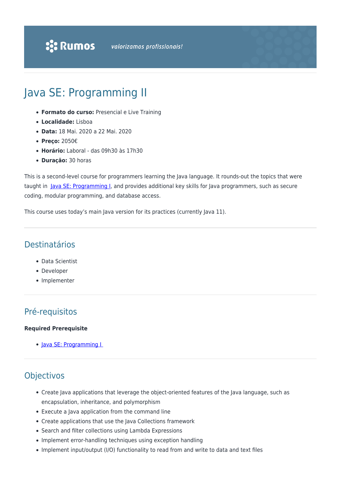# Java SE: Programming II

- **Formato do curso:** Presencial e Live Training
- **Localidade:** Lisboa
- **Data:** 18 Mai. 2020 a 22 Mai. 2020
- **Preço:** 2050€
- **Horário:** Laboral das 09h30 às 17h30
- **Duração:** 30 horas

This is a second-level course for programmers learning the Java language. It rounds-out the topics that were taught in [Java SE: Programming I](https://rumos.pt/curso/java-se-programming-i-presencial/), and provides additional key skills for Java programmers, such as secure coding, modular programming, and database access.

This course uses today's main Java version for its practices (currently Java 11).

### Destinatários

- Data Scientist
- Developer
- Implementer

# Pré-requisitos

#### **Required Prerequisite**

• Java SE: Programming I

## Objectivos

- Create Java applications that leverage the object-oriented features of the Java language, such as encapsulation, inheritance, and polymorphism
- Execute a Java application from the command line
- Create applications that use the Java Collections framework
- Search and filter collections using Lambda Expressions
- Implement error-handling techniques using exception handling
- Implement input/output (I/O) functionality to read from and write to data and text files